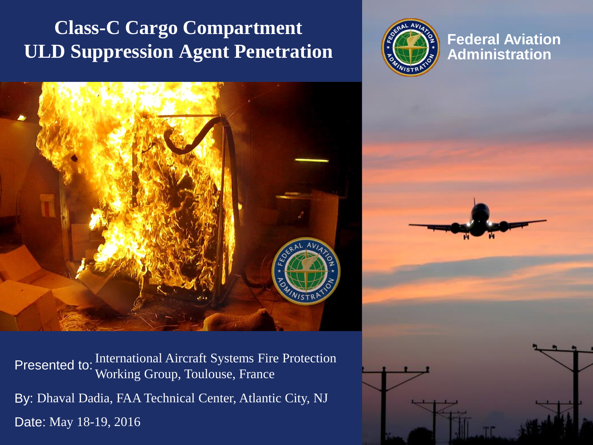### **Class-C Cargo Compartment ULD Suppression Agent Penetration**



**Federal Aviation Administration**



Presented to: By: Dhaval Dadia, FAA Technical Center, Atlantic City, NJ Date: May 18-19, 2016International Aircraft Systems Fire Protection Working Group, Toulouse, France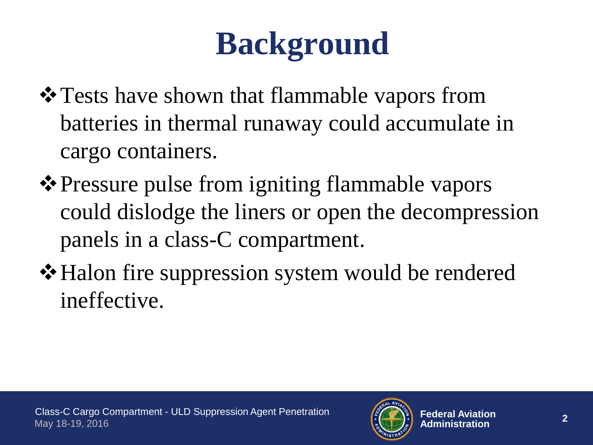# **Background**

- $\triangle$  **Tests have shown that flammable vapors from** batteries in thermal runaway could accumulate in cargo containers.
- **\*** Pressure pulse from igniting flammable vapors could dislodge the liners or open the decompression panels in a class-C compartment.
- $\triangle$  **Halon fire suppression system would be rendered** ineffective.

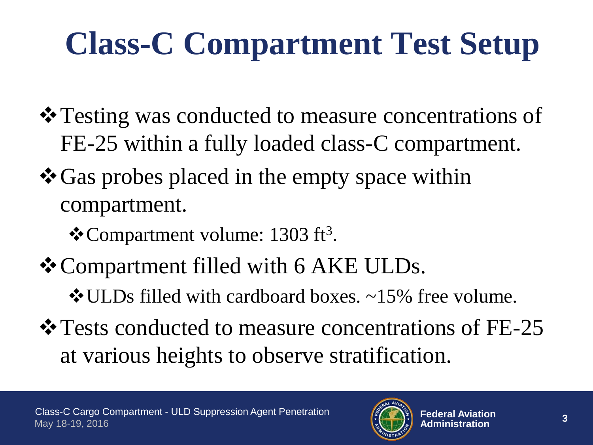# **Class-C Compartment Test Setup**

- $\triangle$  **Testing was conducted to measure concentrations of** FE-25 within a fully loaded class-C compartment.
- $\cdot$  **Gas probes placed in the empty space within** compartment.
	- ❖ Compartment volume: 1303 ft<sup>3</sup>.
- **❖ Compartment filled with 6 AKE ULDs.** 
	- ULDs filled with cardboard boxes. ~15% free volume.
- $\triangle$  **Tests conducted to measure concentrations of FE-25** at various heights to observe stratification.

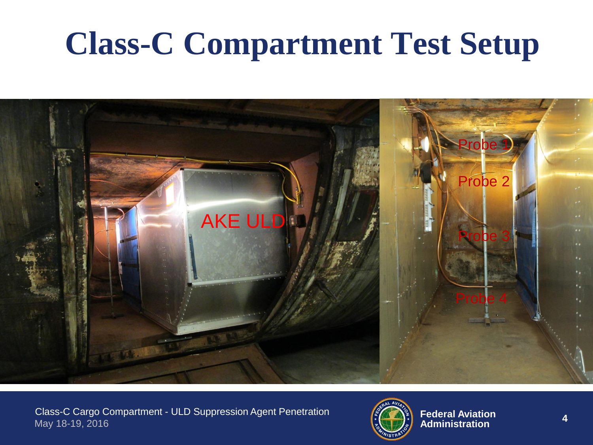## **Class-C Compartment Test Setup**



Class-C Cargo Compartment - ULD Suppression Agent Penetration May 18-19, 2016

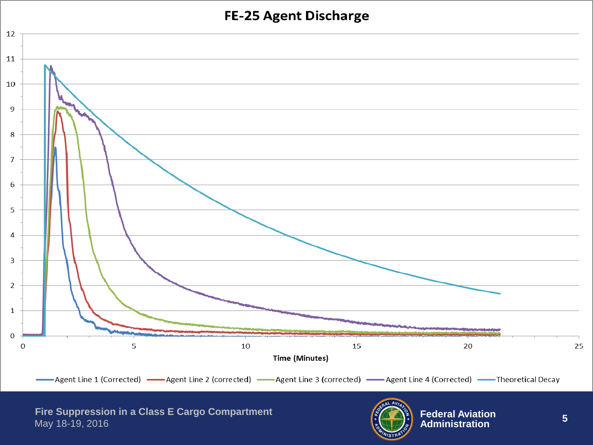#### **FE-25 Agent Discharge**



**Fire Suppression in a Class E Cargo Compartment** May 18 -19, 2016

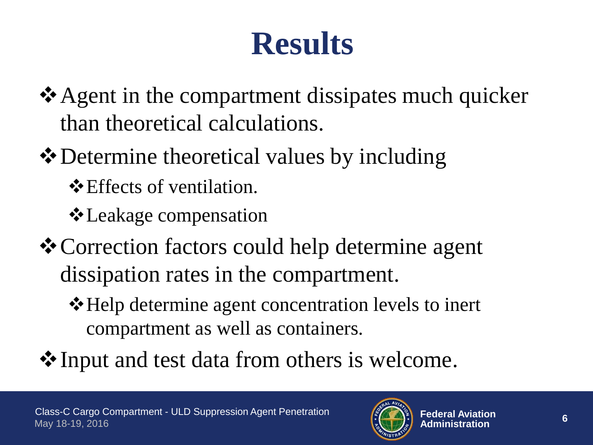### **Results**

- $\triangle$  Agent in the compartment dissipates much quicker than theoretical calculations.
- $\triangle$  Determine theoretical values by including
	- **E** Effects of ventilation.
	- **∻** Leakage compensation
- Correction factors could help determine agent dissipation rates in the compartment.
	- **\*** Help determine agent concentration levels to inert compartment as well as containers.
- **V**Input and test data from others is welcome.